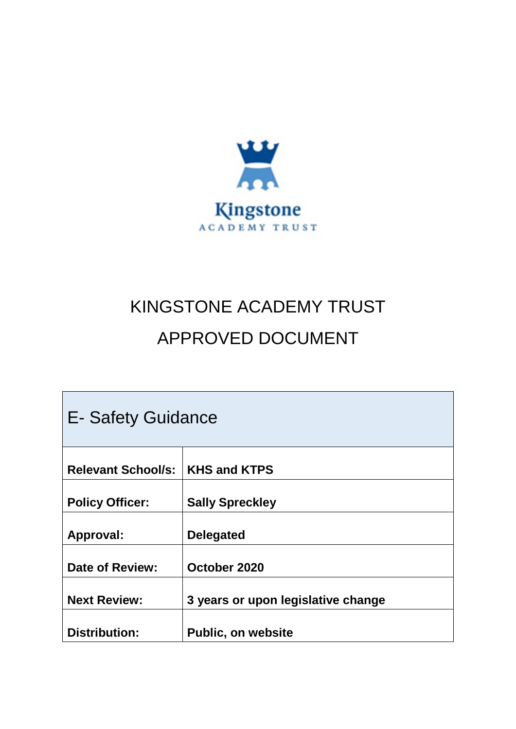

# KINGSTONE ACADEMY TRUST APPROVED DOCUMENT

| E- Safety Guidance        |                                    |  |  |  |  |  |
|---------------------------|------------------------------------|--|--|--|--|--|
|                           |                                    |  |  |  |  |  |
| <b>Relevant School/s:</b> | <b>KHS and KTPS</b>                |  |  |  |  |  |
| <b>Policy Officer:</b>    | <b>Sally Spreckley</b>             |  |  |  |  |  |
| <b>Approval:</b>          | <b>Delegated</b>                   |  |  |  |  |  |
| <b>Date of Review:</b>    | October 2020                       |  |  |  |  |  |
| <b>Next Review:</b>       | 3 years or upon legislative change |  |  |  |  |  |
| <b>Distribution:</b>      | <b>Public, on website</b>          |  |  |  |  |  |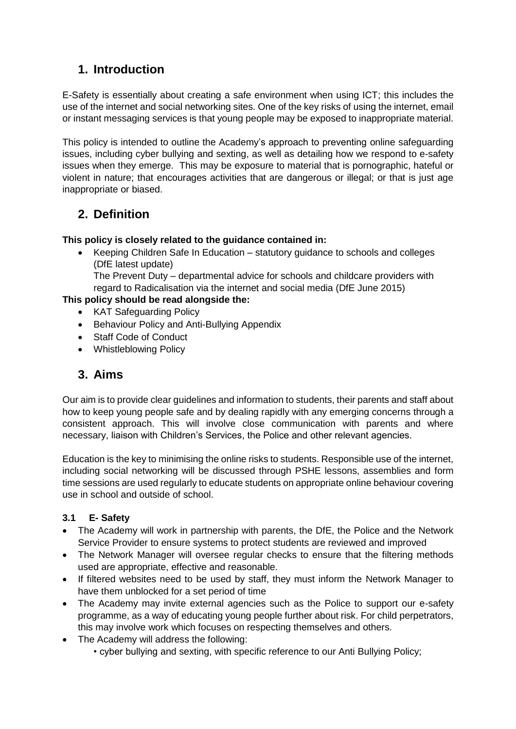# **1. Introduction**

E-Safety is essentially about creating a safe environment when using ICT; this includes the use of the internet and social networking sites. One of the key risks of using the internet, email or instant messaging services is that young people may be exposed to inappropriate material.

This policy is intended to outline the Academy's approach to preventing online safeguarding issues, including cyber bullying and sexting, as well as detailing how we respond to e-safety issues when they emerge. This may be exposure to material that is pornographic, hateful or violent in nature; that encourages activities that are dangerous or illegal; or that is just age inappropriate or biased.

# **2. Definition**

#### **This policy is closely related to the guidance contained in:**

 Keeping Children Safe In Education – statutory guidance to schools and colleges (DfE latest update)

The Prevent Duty – departmental advice for schools and childcare providers with regard to Radicalisation via the internet and social media (DfE June 2015)

#### **This policy should be read alongside the:**

- KAT Safeguarding Policy
- Behaviour Policy and Anti-Bullying Appendix
- Staff Code of Conduct
- Whistleblowing Policy

## **3. Aims**

Our aim is to provide clear guidelines and information to students, their parents and staff about how to keep young people safe and by dealing rapidly with any emerging concerns through a consistent approach. This will involve close communication with parents and where necessary, liaison with Children's Services, the Police and other relevant agencies.

Education is the key to minimising the online risks to students. Responsible use of the internet, including social networking will be discussed through PSHE lessons, assemblies and form time sessions are used regularly to educate students on appropriate online behaviour covering use in school and outside of school.

#### **3.1 E- Safety**

- The Academy will work in partnership with parents, the DfE, the Police and the Network Service Provider to ensure systems to protect students are reviewed and improved
- The Network Manager will oversee regular checks to ensure that the filtering methods used are appropriate, effective and reasonable.
- If filtered websites need to be used by staff, they must inform the Network Manager to have them unblocked for a set period of time
- The Academy may invite external agencies such as the Police to support our e-safety programme, as a way of educating young people further about risk. For child perpetrators, this may involve work which focuses on respecting themselves and others.
- The Academy will address the following:
	- cyber bullying and sexting, with specific reference to our Anti Bullying Policy;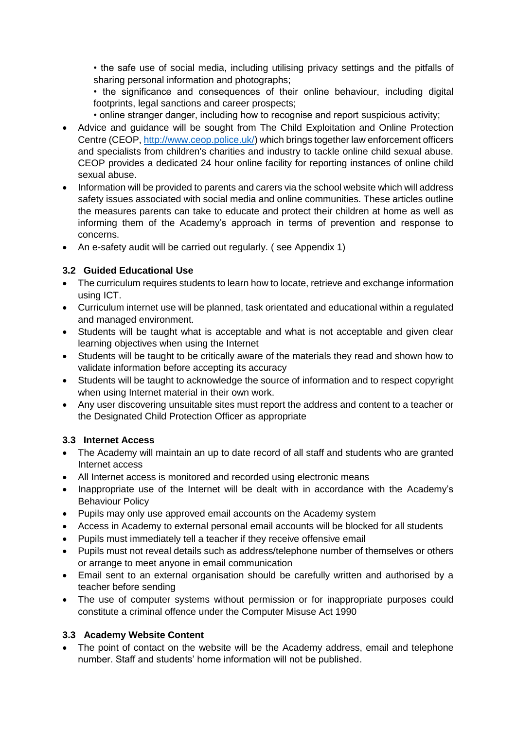• the safe use of social media, including utilising privacy settings and the pitfalls of sharing personal information and photographs;

• the significance and consequences of their online behaviour, including digital footprints, legal sanctions and career prospects;

• online stranger danger, including how to recognise and report suspicious activity;

- Advice and guidance will be sought from The Child Exploitation and Online Protection Centre (CEOP, [http://www.ceop.police.uk/\)](http://www.ceop.police.uk/) which brings together law enforcement officers and specialists from children's charities and industry to tackle online child sexual abuse. CEOP provides a dedicated 24 hour online facility for reporting instances of online child sexual abuse.
- Information will be provided to parents and carers via the school website which will address safety issues associated with social media and online communities. These articles outline the measures parents can take to educate and protect their children at home as well as informing them of the Academy's approach in terms of prevention and response to concerns.
- An e-safety audit will be carried out regularly. ( see Appendix 1)

#### **3.2 Guided Educational Use**

- The curriculum requires students to learn how to locate, retrieve and exchange information using ICT.
- Curriculum internet use will be planned, task orientated and educational within a regulated and managed environment.
- Students will be taught what is acceptable and what is not acceptable and given clear learning objectives when using the Internet
- Students will be taught to be critically aware of the materials they read and shown how to validate information before accepting its accuracy
- Students will be taught to acknowledge the source of information and to respect copyright when using Internet material in their own work.
- Any user discovering unsuitable sites must report the address and content to a teacher or the Designated Child Protection Officer as appropriate

#### **3.3 Internet Access**

- The Academy will maintain an up to date record of all staff and students who are granted Internet access
- All Internet access is monitored and recorded using electronic means
- Inappropriate use of the Internet will be dealt with in accordance with the Academy's Behaviour Policy
- Pupils may only use approved email accounts on the Academy system
- Access in Academy to external personal email accounts will be blocked for all students
- Pupils must immediately tell a teacher if they receive offensive email
- Pupils must not reveal details such as address/telephone number of themselves or others or arrange to meet anyone in email communication
- Email sent to an external organisation should be carefully written and authorised by a teacher before sending
- The use of computer systems without permission or for inappropriate purposes could constitute a criminal offence under the Computer Misuse Act 1990

#### **3.3 Academy Website Content**

• The point of contact on the website will be the Academy address, email and telephone number. Staff and students' home information will not be published.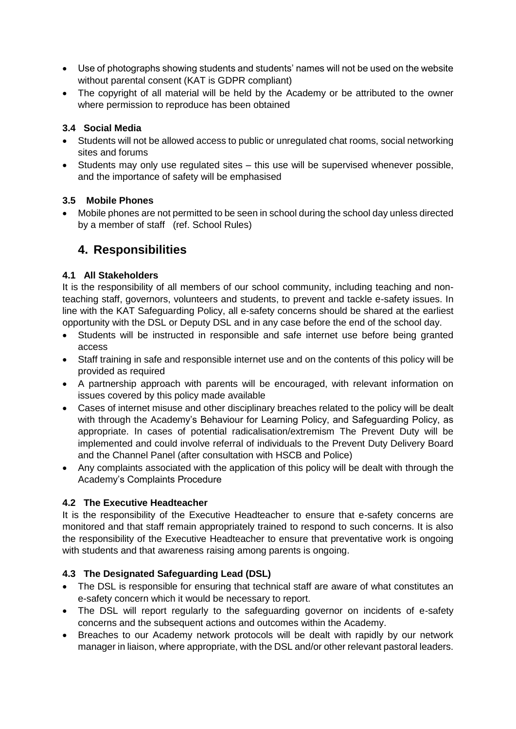- Use of photographs showing students and students' names will not be used on the website without parental consent (KAT is GDPR compliant)
- The copyright of all material will be held by the Academy or be attributed to the owner where permission to reproduce has been obtained

#### **3.4 Social Media**

- Students will not be allowed access to public or unregulated chat rooms, social networking sites and forums
- Students may only use regulated sites this use will be supervised whenever possible, and the importance of safety will be emphasised

#### **3.5 Mobile Phones**

 Mobile phones are not permitted to be seen in school during the school day unless directed by a member of staff (ref. School Rules)

### **4. Responsibilities**

#### **4.1 All Stakeholders**

It is the responsibility of all members of our school community, including teaching and nonteaching staff, governors, volunteers and students, to prevent and tackle e-safety issues. In line with the KAT Safeguarding Policy, all e-safety concerns should be shared at the earliest opportunity with the DSL or Deputy DSL and in any case before the end of the school day.

- Students will be instructed in responsible and safe internet use before being granted access
- Staff training in safe and responsible internet use and on the contents of this policy will be provided as required
- A partnership approach with parents will be encouraged, with relevant information on issues covered by this policy made available
- Cases of internet misuse and other disciplinary breaches related to the policy will be dealt with through the Academy's Behaviour for Learning Policy, and Safeguarding Policy, as appropriate. In cases of potential radicalisation/extremism The Prevent Duty will be implemented and could involve referral of individuals to the Prevent Duty Delivery Board and the Channel Panel (after consultation with HSCB and Police)
- Any complaints associated with the application of this policy will be dealt with through the Academy's Complaints Procedure

#### **4.2 The Executive Headteacher**

It is the responsibility of the Executive Headteacher to ensure that e-safety concerns are monitored and that staff remain appropriately trained to respond to such concerns. It is also the responsibility of the Executive Headteacher to ensure that preventative work is ongoing with students and that awareness raising among parents is ongoing.

#### **4.3 The Designated Safeguarding Lead (DSL)**

- The DSL is responsible for ensuring that technical staff are aware of what constitutes an e-safety concern which it would be necessary to report.
- The DSL will report regularly to the safeguarding governor on incidents of e-safety concerns and the subsequent actions and outcomes within the Academy.
- Breaches to our Academy network protocols will be dealt with rapidly by our network manager in liaison, where appropriate, with the DSL and/or other relevant pastoral leaders.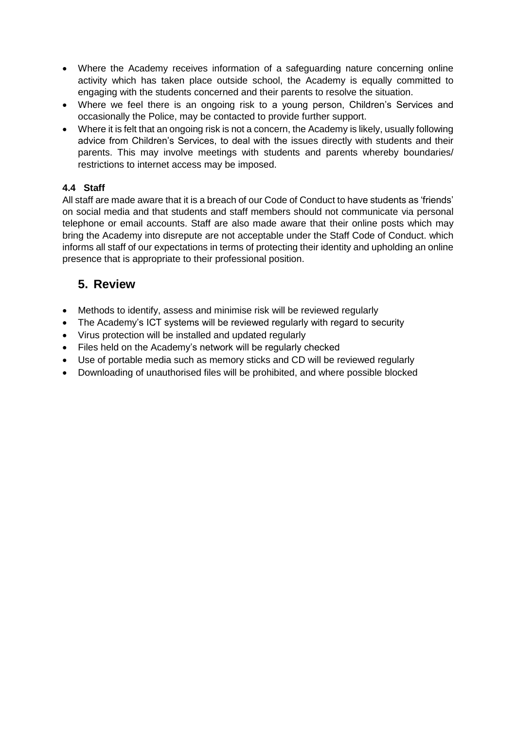- Where the Academy receives information of a safeguarding nature concerning online activity which has taken place outside school, the Academy is equally committed to engaging with the students concerned and their parents to resolve the situation.
- Where we feel there is an ongoing risk to a young person, Children's Services and occasionally the Police, may be contacted to provide further support.
- Where it is felt that an ongoing risk is not a concern, the Academy is likely, usually following advice from Children's Services, to deal with the issues directly with students and their parents. This may involve meetings with students and parents whereby boundaries/ restrictions to internet access may be imposed.

#### **4.4 Staff**

All staff are made aware that it is a breach of our Code of Conduct to have students as 'friends' on social media and that students and staff members should not communicate via personal telephone or email accounts. Staff are also made aware that their online posts which may bring the Academy into disrepute are not acceptable under the Staff Code of Conduct. which informs all staff of our expectations in terms of protecting their identity and upholding an online presence that is appropriate to their professional position.

# **5. Review**

- Methods to identify, assess and minimise risk will be reviewed regularly
- The Academy's ICT systems will be reviewed regularly with regard to security
- Virus protection will be installed and updated regularly
- Files held on the Academy's network will be regularly checked
- Use of portable media such as memory sticks and CD will be reviewed regularly
- Downloading of unauthorised files will be prohibited, and where possible blocked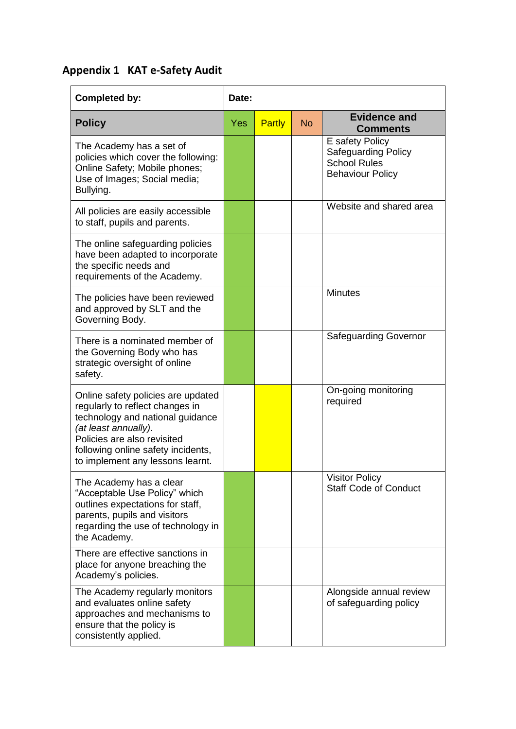# **Appendix 1 KAT e-Safety Audit**

| <b>Completed by:</b>                                                                                                                                                                                                                       | Date:      |        |           |                                                                                                 |
|--------------------------------------------------------------------------------------------------------------------------------------------------------------------------------------------------------------------------------------------|------------|--------|-----------|-------------------------------------------------------------------------------------------------|
| <b>Policy</b>                                                                                                                                                                                                                              | <b>Yes</b> | Partly | <b>No</b> | <b>Evidence and</b><br><b>Comments</b>                                                          |
| The Academy has a set of<br>policies which cover the following:<br>Online Safety; Mobile phones;<br>Use of Images; Social media;<br>Bullying.                                                                                              |            |        |           | E safety Policy<br><b>Safeguarding Policy</b><br><b>School Rules</b><br><b>Behaviour Policy</b> |
| All policies are easily accessible<br>to staff, pupils and parents.                                                                                                                                                                        |            |        |           | Website and shared area                                                                         |
| The online safeguarding policies<br>have been adapted to incorporate<br>the specific needs and<br>requirements of the Academy.                                                                                                             |            |        |           |                                                                                                 |
| The policies have been reviewed<br>and approved by SLT and the<br>Governing Body.                                                                                                                                                          |            |        |           | <b>Minutes</b>                                                                                  |
| There is a nominated member of<br>the Governing Body who has<br>strategic oversight of online<br>safety.                                                                                                                                   |            |        |           | <b>Safeguarding Governor</b>                                                                    |
| Online safety policies are updated<br>regularly to reflect changes in<br>technology and national guidance<br>(at least annually).<br>Policies are also revisited<br>following online safety incidents,<br>to implement any lessons learnt. |            |        |           | On-going monitoring<br>required                                                                 |
| The Academy has a clear<br>"Acceptable Use Policy" which<br>outlines expectations for staff,<br>parents, pupils and visitors<br>regarding the use of technology in<br>the Academy.                                                         |            |        |           | <b>Visitor Policy</b><br><b>Staff Code of Conduct</b>                                           |
| There are effective sanctions in<br>place for anyone breaching the<br>Academy's policies.                                                                                                                                                  |            |        |           |                                                                                                 |
| The Academy regularly monitors<br>and evaluates online safety<br>approaches and mechanisms to<br>ensure that the policy is<br>consistently applied.                                                                                        |            |        |           | Alongside annual review<br>of safeguarding policy                                               |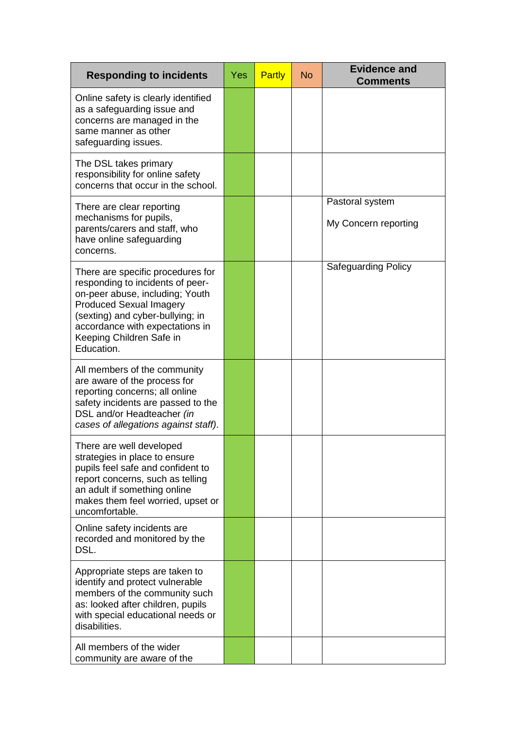| <b>Responding to incidents</b>                                                                                                                                                                                                                              | Yes | Partly | <b>No</b> | <b>Evidence and</b><br><b>Comments</b>  |
|-------------------------------------------------------------------------------------------------------------------------------------------------------------------------------------------------------------------------------------------------------------|-----|--------|-----------|-----------------------------------------|
| Online safety is clearly identified<br>as a safeguarding issue and<br>concerns are managed in the<br>same manner as other<br>safeguarding issues.                                                                                                           |     |        |           |                                         |
| The DSL takes primary<br>responsibility for online safety<br>concerns that occur in the school.                                                                                                                                                             |     |        |           |                                         |
| There are clear reporting<br>mechanisms for pupils,<br>parents/carers and staff, who<br>have online safeguarding<br>concerns.                                                                                                                               |     |        |           | Pastoral system<br>My Concern reporting |
| There are specific procedures for<br>responding to incidents of peer-<br>on-peer abuse, including; Youth<br><b>Produced Sexual Imagery</b><br>(sexting) and cyber-bullying; in<br>accordance with expectations in<br>Keeping Children Safe in<br>Education. |     |        |           | <b>Safeguarding Policy</b>              |
| All members of the community<br>are aware of the process for<br>reporting concerns; all online<br>safety incidents are passed to the<br>DSL and/or Headteacher (in<br>cases of allegations against staff).                                                  |     |        |           |                                         |
| There are well developed<br>strategies in place to ensure<br>pupils feel safe and confident to<br>report concerns, such as telling<br>an adult if something online<br>makes them feel worried, upset or<br>uncomfortable.                                   |     |        |           |                                         |
| Online safety incidents are<br>recorded and monitored by the<br>DSL.                                                                                                                                                                                        |     |        |           |                                         |
| Appropriate steps are taken to<br>identify and protect vulnerable<br>members of the community such<br>as: looked after children, pupils<br>with special educational needs or<br>disabilities.                                                               |     |        |           |                                         |
| All members of the wider<br>community are aware of the                                                                                                                                                                                                      |     |        |           |                                         |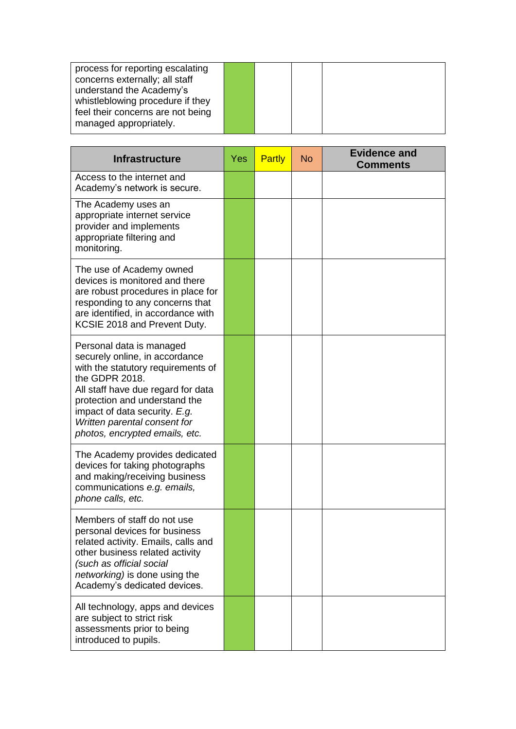| process for reporting escalating<br>concerns externally; all staff<br>understand the Academy's  |  |  |
|-------------------------------------------------------------------------------------------------|--|--|
| whistleblowing procedure if they<br>feel their concerns are not being<br>managed appropriately. |  |  |

| <b>Infrastructure</b>                                                                                                                                                                                                                                                                        | Yes | Partly | <b>No</b> | <b>Evidence and</b><br><b>Comments</b> |
|----------------------------------------------------------------------------------------------------------------------------------------------------------------------------------------------------------------------------------------------------------------------------------------------|-----|--------|-----------|----------------------------------------|
| Access to the internet and<br>Academy's network is secure.                                                                                                                                                                                                                                   |     |        |           |                                        |
| The Academy uses an<br>appropriate internet service<br>provider and implements<br>appropriate filtering and<br>monitoring.                                                                                                                                                                   |     |        |           |                                        |
| The use of Academy owned<br>devices is monitored and there<br>are robust procedures in place for<br>responding to any concerns that<br>are identified, in accordance with<br>KCSIE 2018 and Prevent Duty.                                                                                    |     |        |           |                                        |
| Personal data is managed<br>securely online, in accordance<br>with the statutory requirements of<br>the GDPR 2018.<br>All staff have due regard for data<br>protection and understand the<br>impact of data security. E.g.<br>Written parental consent for<br>photos, encrypted emails, etc. |     |        |           |                                        |
| The Academy provides dedicated<br>devices for taking photographs<br>and making/receiving business<br>communications e.g. emails,<br>phone calls, etc.                                                                                                                                        |     |        |           |                                        |
| Members of staff do not use<br>personal devices for business<br>related activity. Emails, calls and<br>other business related activity<br>(such as official social<br>networking) is done using the<br>Academy's dedicated devices.                                                          |     |        |           |                                        |
| All technology, apps and devices<br>are subject to strict risk<br>assessments prior to being<br>introduced to pupils.                                                                                                                                                                        |     |        |           |                                        |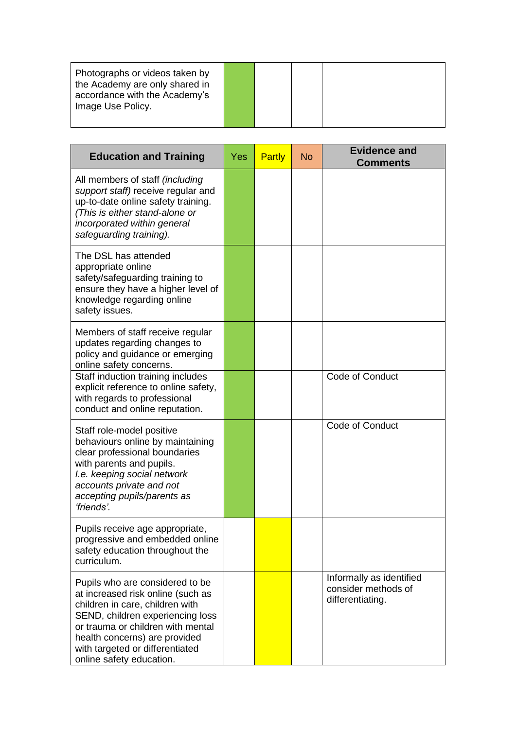| Photographs or videos taken by<br>the Academy are only shared in<br>accordance with the Academy's<br>Image Use Policy. |  |
|------------------------------------------------------------------------------------------------------------------------|--|
|------------------------------------------------------------------------------------------------------------------------|--|

| <b>Education and Training</b>                                                                                                                                                                                                                                                    | Yes | Partly | <b>No</b> | <b>Evidence and</b><br><b>Comments</b>                              |
|----------------------------------------------------------------------------------------------------------------------------------------------------------------------------------------------------------------------------------------------------------------------------------|-----|--------|-----------|---------------------------------------------------------------------|
| All members of staff (including<br>support staff) receive regular and<br>up-to-date online safety training.<br>(This is either stand-alone or<br>incorporated within general<br>safeguarding training).                                                                          |     |        |           |                                                                     |
| The DSL has attended<br>appropriate online<br>safety/safeguarding training to<br>ensure they have a higher level of<br>knowledge regarding online<br>safety issues.                                                                                                              |     |        |           |                                                                     |
| Members of staff receive regular<br>updates regarding changes to<br>policy and guidance or emerging<br>online safety concerns.                                                                                                                                                   |     |        |           |                                                                     |
| Staff induction training includes<br>explicit reference to online safety,<br>with regards to professional<br>conduct and online reputation.                                                                                                                                      |     |        |           | Code of Conduct                                                     |
| Staff role-model positive<br>behaviours online by maintaining<br>clear professional boundaries<br>with parents and pupils.<br>I.e. keeping social network<br>accounts private and not<br>accepting pupils/parents as<br>'friends'.                                               |     |        |           | Code of Conduct                                                     |
| Pupils receive age appropriate,<br>progressive and embedded online<br>safety education throughout the<br>curriculum.                                                                                                                                                             |     |        |           |                                                                     |
| Pupils who are considered to be<br>at increased risk online (such as<br>children in care, children with<br>SEND, children experiencing loss<br>or trauma or children with mental<br>health concerns) are provided<br>with targeted or differentiated<br>online safety education. |     |        |           | Informally as identified<br>consider methods of<br>differentiating. |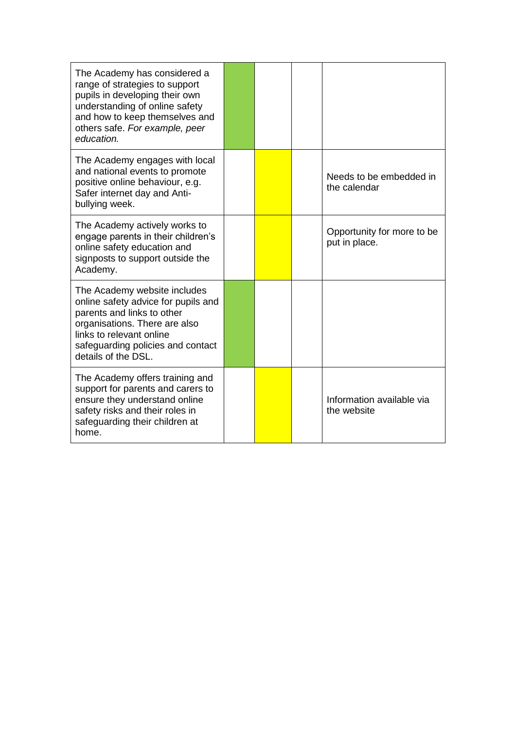| The Academy has considered a<br>range of strategies to support<br>pupils in developing their own<br>understanding of online safety<br>and how to keep themselves and<br>others safe. For example, peer<br>education.       |  |                                             |
|----------------------------------------------------------------------------------------------------------------------------------------------------------------------------------------------------------------------------|--|---------------------------------------------|
| The Academy engages with local<br>and national events to promote<br>positive online behaviour, e.g.<br>Safer internet day and Anti-<br>bullying week.                                                                      |  | Needs to be embedded in<br>the calendar     |
| The Academy actively works to<br>engage parents in their children's<br>online safety education and<br>signposts to support outside the<br>Academy.                                                                         |  | Opportunity for more to be<br>put in place. |
| The Academy website includes<br>online safety advice for pupils and<br>parents and links to other<br>organisations. There are also<br>links to relevant online<br>safeguarding policies and contact<br>details of the DSL. |  |                                             |
| The Academy offers training and<br>support for parents and carers to<br>ensure they understand online<br>safety risks and their roles in<br>safeguarding their children at<br>home.                                        |  | Information available via<br>the website    |